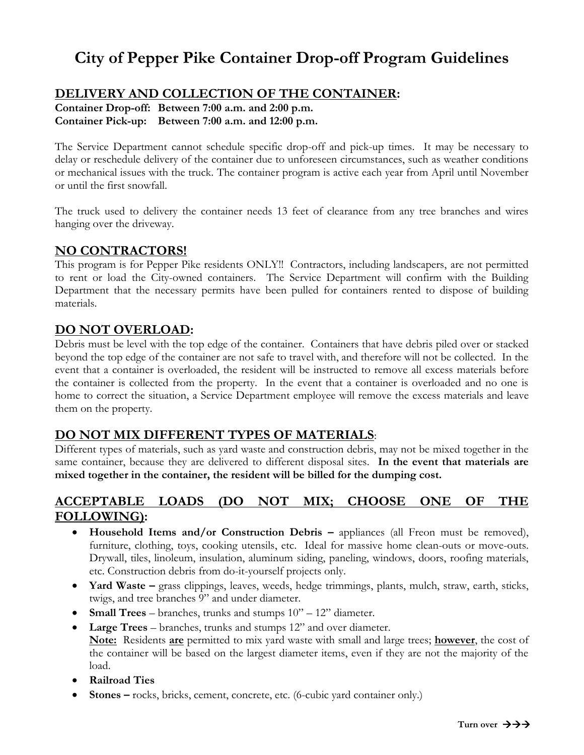# **City of Pepper Pike Container Drop-off Program Guidelines**

## **DELIVERY AND COLLECTION OF THE CONTAINER:**

**Container Drop-off: Between 7:00 a.m. and 2:00 p.m. Container Pick-up: Between 7:00 a.m. and 12:00 p.m.**

The Service Department cannot schedule specific drop-off and pick-up times. It may be necessary to delay or reschedule delivery of the container due to unforeseen circumstances, such as weather conditions or mechanical issues with the truck. The container program is active each year from April until November or until the first snowfall.

The truck used to delivery the container needs 13 feet of clearance from any tree branches and wires hanging over the driveway.

### **NO CONTRACTORS!**

This program is for Pepper Pike residents ONLY!! Contractors, including landscapers, are not permitted to rent or load the City-owned containers. The Service Department will confirm with the Building Department that the necessary permits have been pulled for containers rented to dispose of building materials.

#### **DO NOT OVERLOAD:**

Debris must be level with the top edge of the container. Containers that have debris piled over or stacked beyond the top edge of the container are not safe to travel with, and therefore will not be collected. In the event that a container is overloaded, the resident will be instructed to remove all excess materials before the container is collected from the property. In the event that a container is overloaded and no one is home to correct the situation, a Service Department employee will remove the excess materials and leave them on the property.

### **DO NOT MIX DIFFERENT TYPES OF MATERIALS**:

Different types of materials, such as yard waste and construction debris, may not be mixed together in the same container, because they are delivered to different disposal sites. **In the event that materials are mixed together in the container, the resident will be billed for the dumping cost.**

## **ACCEPTABLE LOADS (DO NOT MIX; CHOOSE ONE OF THE FOLLOWING):**

- **Household Items and/or Construction Debris –** appliances (all Freon must be removed), furniture, clothing, toys, cooking utensils, etc. Ideal for massive home clean-outs or move-outs. Drywall, tiles, linoleum, insulation, aluminum siding, paneling, windows, doors, roofing materials, etc. Construction debris from do-it-yourself projects only.
- **Yard Waste** grass clippings, leaves, weeds, hedge trimmings, plants, mulch, straw, earth, sticks, twigs, and tree branches 9" and under diameter.
- **Small Trees**  branches, trunks and stumps 10" 12" diameter.
- **Large Trees**  branches, trunks and stumps 12" and over diameter. **Note:** Residents **are** permitted to mix yard waste with small and large trees; **however**, the cost of the container will be based on the largest diameter items, even if they are not the majority of the load.
- **Railroad Ties**
- **Stones** rocks, bricks, cement, concrete, etc. (6-cubic yard container only.)